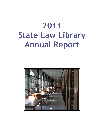# **2011 State Law Library Annual Report**

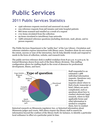## **Public Services**

## **2011 Public Services Statistics**

- 1596 reference requests received and answered via email
- 225 reference requests from jail inmates and state hospital patients
- 866 items scanned and emailed as a result of a request
- 1721 items circulated from the collection
- 99 items circulated to interlibrary loan networks
- 7988 estimated reference questions (including electronic, mail, phone, and inperson requests)

The Public Services Department is the "public face" of the Law Library. Circulation and reference statistics express interactions with library users. Numbers alone do not convey the extent, success or tone of the interaction, but do help identify trends and respond to needs in the form of collection, website, and research tools.

The public services reference desk is staffed weekdays from 8:30 a.m. to 5:00 p.m. by trained librarians drawn from each of the three library divisions. This staffing configuration allows for staffing depth in the event of absences for professional development, illness, and leave.



Staff responded to an estimated 7,988 individual information requests. Questions vary. Some are simple inquiries about where to find a book, transcript or brief. Others are more complicated, such as questions about how to conduct electronic legal research, where to find applicable forms and what information is needed to complete them, how to conduct

historical research on Minnesota regulatory law, or historical information about Minnesota judges and courts. Still others require the library staff to search for information beyond the confines of the library itself, for instance, to identify a particular local ordinance in effect at a particular point in time.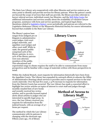The State Law Library acts cooperatively with other libraries and service centers as an entry point to identify and provide services for library patrons. When the patron's needs are beyond the scope of services that staff can provide, the library provides referrals to lawyer referral services, individual county law libraries, and the Self-Help Center for additional information and services usually about the availability of volunteer lawyer programs, assistance with form and service questions, and topical legal clinics. Questions related to **legislative history** occur periodically and patrons are referred to the Legislative Reference Library or the Minnesota Historical Society for source information beyond that available in the State Law Library.

The library's patron base ranges from indigent pro se litigants to administrative court judges, trial court judges statewide, and appellate court judges and other court staff. While in 1996, the general public comprised 23% of the library patrons, in 2011, 52% of the library patrons were non-attorney members of the public. This educational and



experiential range in clients requires the staff to be able to communicate from many perspectives and be familiar with a range of materials written with those perspectives in mind.

Within the Judicial Branch, most requests for information historically have been from the Appellate Courts. The Library has expanded its outreach efforts to educate the Office of Administrative Hearings about services it provides and to expand services to the trial courts statewide. Over the last five years, a 47% increase in requests for information from the District Courts has occurred. The Law Library has made a concerted effort to highlight law review articles on topics of interest to court staff and judges through

monthly emailed lists of new books and recently received law review articles, and to provide focused topical alerts about articles to judges who are interested in specific legal areas. In 2011, the Law Library received 524 requests for information from the judicial branch, with an average of 3.7 items per request.

The method by which the Law Library communicates with its patrons is changing with the electronic age. Fifteen years ago, 1% of library

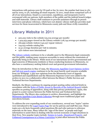interactions with patrons were by US mail or fax; by 2001, the number had risen to 3%; and by 2005, to 5%, including all email requests. In 2011, email alone comprised 22% of all of our interactions. Email is a convenient, expeditious, and inexpensive tool to correspond with our patrons, both members of the public and the judicial branch judges and staff statewide. Library staff continues to provide assistance through in person interviews and phone reference, which have not abated. Library staff also provides mail services for those incarcerated in Minnesota county jails and those civilly committed.

### **Library Website in 2011**

- 300,225 visits to the website (25,019 average per month)
- 1,424,933 pages viewed on the Library website (118,744 average per month)
- 166,999 website visitors (140,237 repeat visitors)
- 744,053 website catalog hits
- 15:41 average duration per visit in minutes.
- 14% visitors were international

The Library website continues to be a valuable asset to the Minnesota legal community and the public, making many resources accessible to users without the constraints of physically being in the library. While most of our interactions involve governmental and legal concerns of Minnesota residents or those conducting business in Minnesota, we also have a constituency seeking federal court and general government information.

Since its introduction in May of 1995, the Minnesota Appellate Court Opinion Archive and full-text search engine continues to be the most heavily used resource available from our Webpage. 2,492 new opinions from the Minnesota Court of Appeals (published and unpublished) and the Minnesota Supreme Court were added to the archive in 2011 in a collaborative effort between the library's Public Services and Technical Services Departments.

Similarly, the library continues its ongoing project posting online selected briefs in accordance with the Rules of Public Access to Records of the Judicial Branch (which specifies no posting of appendices, along with data privacy protections). Again, this project is a joint venture between the Public Services and Technical Services Departments. The library also continues to archive, disseminate, and highlight the Minnesota Appellate Court Briefs Collection through more traditional paper and microform formats.

To address the ever expanding needs of our constituency, several new "topics" entries were introduced to the Legal Topics Page for use by patrons and staff this year. These topics are a de facto frequently asked questions file and refer patrons to reference materials on the issue. Many reflect the "sign of the times" as people seek legal information to assist them in dealing with the current economic or legal situations in their lives. New popular topics include: Estates in Lands, Abandoned Property, and Collateral Consequences to a Felony Conviction (a joint effort between the Public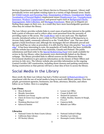Services Department and the Law Library Service to Prisoners Program). Library staff periodically review and update existing topics in a variety of high demand areas: family law (Child Custody and Parenting Time, Emancipation of Minors, Grandparents' Rights, Termination of Parental Rights); employment issues (Employment Law, Unemployment Insurance, Workers' Compensation); and general topics such as Background Checks, Expungement, Debt Collection, and Mortgage Foreclosure. Many pro se litigants are finding these pages on their own. As a result they have more knowledgeable questions when they do contact the library.

The Law Library provides website links to court cases of particular interest to the public both a point of reference and to relieve other court personnel from the necessity of providing copies or file access. The Credit River case is one such case. The digitized records, introduced online in 2007, relate to *First National Bank of Montgomery vs. Jerome Daly* (1968), commonly referred to as the "Credit River" case. The case ruled against a bank foreclosure and, although the mortgagee did not ultimately prevail and the case itself has no value as precedent, it is still cited by those who practice "law on the edge". It has been interesting to note, the popularity of Credit River has been worldwide and the website has received hits from Australia, Canada and Finland. The public submissions and final order to the **Special Redistricting Panel** were made available for review in the law library; other documents were electronically linked on the library webpage. The library provided links to official sources on the Minnesota State Government shutdown to give patrons information on the closure of State Offices and services in July 2011. The Library website also provides information on the ongoing Central Corridor LRT construction, including street closures and parking restrictions during construction so that patrons will have a clear idea of how to access the library.

## **Social Media in the Library**

Since 2008, the State Law Library has had a Twitter account ( $\omega$ StateLawLibrary) to experiment with the use of social media to keep in touch with library patrons. Over 600 people, government agencies, businesses, law firms, attorneys, libraries, and others follow us on Twitter. Here is a sampling:

#### **Law Firms**

- 
- 
- 
- Claery & Green (Los Angeles and San Diego)
- Wainberg Morrison LLC Cameron Kelly
- 

#### **Libraries**

- National Center for State Courts Library National Judicial College
- California State Library Hamline Law Library
- 
- Moss & Barnett Lynum Law Office
- Murphy Associates Cooper & Reid, LLC
- Holstein Law Group Heimerl & Lammers
	- Collins, Buckley, Sauntry & Haugh, P.L.L.P.
	-
- Sykora & Santini Blahnik Law Office
	-
	-
- NY Society Library Hennepin County Library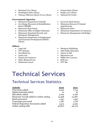- Maryland Law Library Oregon State Library
- Washington State Library Burger Law Library
- Thomas Jefferson School of Law Library National AG Center

#### **Government Agencies**

- Minnesota Department of Health Governor Mark Dayton
- Iron Range Resources & Rehabilitation Board (IRRRB)
- Minnesota State Patrol Minnesota Cities
- 
- Minnesota Homeland Security and Emergency Management
- Minnesota Department of Employment and Economic Development (DEED) Library

#### **Others**

- 
- 
- NewsBank Inc. <br>• Justice in MN
- 
- Finance & Commerce MSBA New Lawyers
- Wiley-Blackwell Law Brill Law
- Minnesota Lawyer NYC Bar
- 
- 
- 
- 
- Minnesota Bureau of Criminal Apprehension
- 
- Minnesota Office of Higher Education Minnesota Department of Commerce
	- Minnesota Management and Budget
- Legal Aid Mariposa Publishing
- TPT Almanac ABA Public Education
	-
- Justia.com Minnesota Law
	-
	-
	-

## **Technical Services**

## **Technical Services Statistics**

| <b>Activity</b>                            | 2010   | 2011   |
|--------------------------------------------|--------|--------|
| Print items added                          | 9,412  | 7,714  |
| Digital materials added                    | 10     | 16     |
| Microfiche added                           | 3,762  | 2,766  |
| Electronic records added to online catalog | 14,398 | 12,087 |
| Briefs processed                           | 1,547  | 1,597  |
| <b>Transcripts processed</b>               | 1,787  | 1,778  |
| Federal Depository documents added         | 5,314  | 4,239  |
| Online catalog edits                       | 40,810 | 42,014 |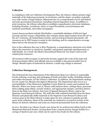#### **Collection**

In compliance with our Collection Development Plan, the Library collects primary legal materials of the federal government, its territories, and the states; secondary materials on a wide variety of legal subjects; Minnesota law on a comprehensive level; and federal and state government documents, including selected depository items. In addition to print resources, the Library subscribes to multiple comprehensive electronic databases, including Westlaw, LexisNexis, *Index to Legal Periodicals*, several business and academic periodicals, and online newspapers.

Lesser-known products include HeinOnline, a searchable database of full-text legal journals and law reviews. HeinOnline also contains classic legal treatises from the 16th to the 20th centuries, all United States treaties, and several government documents. All resources are in PDF format to assist in cite checking, and its comprehensive coverage dates back to the document's inception.

New to the collection this year is *RIA Checkpoint*, a comprehensive electronic tool which allows the researcher to search tax, benefits, and pension materials simultaneously or individually. As a result, the library discontinued *Kleinrock Tax Expert* and several related print resources.

All resources either in paper or electronic formats support the work of the state and local government offices and officials and are available to the general public free of charge. Should copies of materials be desired, a small copy charge is assessed.

#### **Collection Management**

The Technical Services Department of the Minnesota State Law Library is responsible for the ordering, receiving, and cataloging of books and other media, including websites and online documents, for the Library's collection. In addition, the Department catalogs for ten county law libraries throughout Minnesota. The Department also serves as a micropublisher of the Minnesota Appellate Courts Briefs for county and academic law libraries. When new items come in, library staff analyzes them, catalogs them, processes them (adding spine labels, security stickers, and appropriate stamps), and then shelves them in the State Law Library, the Court of Appeals Research Library, and/or the Supreme Court Research Library. The staff also culls outdated materials from the three libraries and physically shifts materials in the Supreme Court Research Library and various areas in the Main Library to make space for new volumes in popular growth areas of the collection. Some of the materials are retained in an inactive section of the library for historic reference and some are removed permanently from the collection.

In 2011, the State Law Library found a new home for its archival microfiche briefs at the Minnesota Historical Society, moving them from a remote private storage facility for a savings of \$528.00 per year, which can be used to buy books for the Library.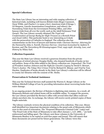#### **Special Collections**

The State Law Library has an interesting and wide ranging collection of historical trials, including well-known British trials (Roger Casement, Oscar Wilde, and Charles I, to name a few), American trials (Chicago 7, OJ Simpson, Lincoln Assassination Conspirators, and others), the Nuremberg Trials from the Government Printing Office, and other famous trials from all over the world, such as the Adolf Eichmann Trial (Israel). The Law Library recently obtained *The Tryal and Condemnation of George Busby for High-Treason as a Romish Priest and Jesuit* (1681). This particular book is very interesting as it deals with the persecution of Catholics in England. The collection also has



commentaries on the lives of lawyers and famous trials: *Clarence Darrow: Attorney for the Damned* by John A. Farrell, *Clarence Darrow: American Iconoclast* by Andrew E. Kersten, and *The Nuremberg SS-Einsatzgruppen Trial, 1945-1958: Atrocity, Law, and History* by Hilary Earl.

#### **Collection Expansion**

This year the State Law Library received a generous donation from the private collections of retired attorney Douglas Hedin, who donated hundreds of books on law and politics. Some of the titles added to the library collection are: *Impeached: The Trial of President Andrew Johnson and the Fight for Lincoln's Legacy* by David O. Stewart, *Victor's Justice: The Tokyo War Crimes Trial* by Richard H. Minear, and *Trial* by Tom Hayden. Duplicates of books already in the State Law Library's collection will be offered to county law libraries with the consent of Mr. Hedin.

#### **Preservation & Technical Assistance**

This year the Technical Services staff assisted the Warren E. Burger Library at the William Mitchell College of Law by providing information about recovering books from water damage.

In an ongoing project, the Revisor of Statutes is digitizing state statutes. As a result, all Minnesota Statutes and related items will be available online. To support the process, the Law Library provided the Revisor's office with several titles that office could not obtain anywhere else. In exchange, the Library will receive newly printed copies of these fragile materials.

The Library routinely reviews the physical condition of its collection. This year, library staff identified two important documents relating to the penal code of Minnesota which were in dire need of restoration. The "Proposed Minnesota Criminal Code" (1965) and "The Penal Code of the State of Minnesota to take effect January 1, A.D. 1886…" are both embrowned and falling apart. The Library sent these volumes to the University of Minnesota Bindery to be copied on acid-free paper and bound. This will ensure that these documents are preserved for future generations. The Library views this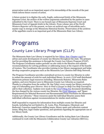preservation work as an important aspect of its stewardship of the records of the past which inform future courses of action.

A future project is to digitize the early, fragile, embrowned briefs of the Minnesota Supreme Court, the archive of the written arguments submitted by the parties in cases submitted to the Court. There is one bound copy of Minnesota Supreme Court and Minnesota Court of Appeals briefs in the Library. From volume 300 of the *North Western Reporter 2d* to the present, we have an archival copy of microfiche and a master copy in storage at the Minnesota Historical Society. Preservation of the archives of the appellate courts is an important goal of the Minnesota State Law Library.

## **Programs**

### **County Law Library Program (CLLP)**

The Minnesota State Law Library is required by law (Minn. Stat. Chapter 134A) to advise and assist development of county law libraries throughout the state. The primary tool for providing this assistance is through the County Law Library Program (CLLP). The Program Coordinator makes periodic on-site visits to the libraries and submits recommendations for solving problems or addressing issues at the request of the boards of trustees. The Coordinator also provides training in law library management and helps develop cooperative programs such as the Minnesota Law Libraries Self-Help Network.

The Program Coordinator provides centralized services to county law libraries in order to reduce the amount of work for each individual library. In 2010, CLLP staff distributed Minnesota primary legal resources including: Minnesota Statutes, Minnesota Rules updates, and 2010 Session Laws to Minnesota County Law Libraries as required. Thanks to a donation from the author (M. Sue Talia), every county law library received a copy of *Unbundling your Divorce: How to Find a Lawyer to Help You Help Yourself* to add to their collection. Updates were made to the CLLP Filing Fee document identifying the fees charged by the various county law libraries, the CLLP Directory, and "Space Requirements for Selected Resources and Recommended Print Purchases for Minnesota County Law Libraries." These resources assist the individual libraries assess their individual collections against recommendations for similar sized entities.

Staff responded to requests for information from multiple county law libraries and boards, including but not limited to, St. Louis, Pine, Pennington, Olmstead, and Redwood. Concerns ranged from staffing issues, library space and collection content issues, filing fees, legal vendor questions, and questions regarding the appropriate use of law library funds.

Additionally, the County Law Library Coordinator and the Acting State Law Librarian continued to work with the Minnesota Collaboration County Law Libraries (MCCLL).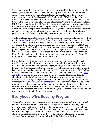This group, primarily composed of metro area county law librarians, meets regularly to exchange information and ideas related to the improvement and administration of county law libraries. It also provides mentorship and professional development for county law library staff. In this capacity CLLP, along with MCCLL, spoke before the Minnesota Judicial Council in April to promote visibility, partnership and cooperation between the Minnesota Judicial Branch and Minnesota County Law Libraries. In May, MCCLL in cooperation with CLLP provided an educational opportunity for county law librarians statewide. This group has requested the Minnesota Continuing Legal Education Board to expand the opportunity for lawyers to receive continuing education credits for pro bono presentations on legal topics offered by County Law Libraries. That petition is currently being considered by the Continuing Education Committee.

The Law Library has posted on its website the continuing recommendations set forth by the Statewide Law Library/Self-Help Center Project Advisory Workgroup in 2007, the "Minnesota Law Libraries Self-Help Network," to assist county law libraries in developing their offerings of legal materials helpful to the public. In July 2010, CLLP and the Acting State Law Librarian renegotiated a contract for services between the legal publishing vendors of both Lexis and Westlaw, offering for the first time a choice of vendors, as well as a wider choice of products and licensing options. The services of Mara Wiggins, a circuit riding librarian for individual counties in the 3<sup>rd</sup>, 5<sup>th</sup>, and 8<sup>th</sup> judicial districts, were negotiated through the CLLP.

Currently the Circuit Riding Librarian resolves computer connection problems to provide access to online legal services; resolves library billing issues with vendors; responds to inquiries concerning cost overages, credits, tax exempt status, returns, billing contact info; organizes training sessions for online research, and advises county law libraries about other ways to reduce costs. With an eye to the future, CLLP is hoping to use the services of the Circuit Riding Librarian to help establish and promote legal self-help services in the outlying judicial districts of Greater Minnesota. Talks have already started in the 5th and 10th judicial districts to bring programs common in the Metro Area, such as topical legal clinics and volunteer attorney programs, to Greater Minnesota. The **Olmstead County Law Library** has also recently started such self-help programs in the Rochester area. Although many county law libraries do not have the revenue to afford the services of an individual law librarian within each county, the collective efforts fostered by the CCLP are encouraging the extension of both library and pro bono legal services to Greater Minnesota.

### **Everybody Wins Reading Program**

The Head of Outreach Services coordinated an ongoing read-aloud program in which adult volunteers are paired with students at Benjamin E. Mays Elementary School during a weekly reading session. The reading program runs each year from October through the end of March. Most of the readers are judicial employees, although some are from other agencies. The volunteers serve as role models and mentors to the children; the readers also help instill the love and pleasure of reading within the students. Coordination of the program involved the following activities: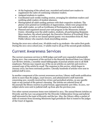- At the beginning of the school year, recruited and trained new readers to supplement the cadre of continuing volunteer readers.
- Assigned students to readers.
- Coordinated each weekly reading session, arranging for substitute readers and notifying adult readers of student absences.
- Photographed all adult reading partners with their respective students. The photos were printed on Certificates of Appreciation, which were prepared for each adult reader, as well as Certificates of Participation for each student.
- Planned and organized annual year-end program at the Minnesota Judicial Center. Attending were the adult readers, students, all participating Benjamin Mays teachers, the school principal, the Executive Director of Everybody Wins - Minnesota, as well as our annual special guests: two storytellers from St. Paul Public Library who enacted a book storytelling session.

During the 2010-2011 school year, 78 adults read to 54 students—the entire first grade. During the 2011-2012 school year, 77 adults read to all 55 of the second-grade students.

## **Current Awareness Services**

The current awareness services to MJB judges and staff were expanded substantially during 2011. One component of the services is the Recently Received State Law Library Law Review Articles, a monthly email bibliography of journal articles sent to all MJB employees. Patrons may request any of the 25-30 articles on each list and receive a scanned copy of the article by email. The response to this service, which began in January 2010, has been extremely positive. Literally hundreds of articles were sent to judicial staff in 2011.

In another component of the current awareness services, Library staff sends notification alerts to more than 80 judges, court lawyers, and administrative staff statewide concerning new, recently received law review and periodical articles, on any specific topic or any journal of the patron's choosing. The articles are selected from all the journals the library receives in print format, approximately 400 titles. In 2011, 727 subject alerts were sent to judicial staff, up from 462 the previous year.

Two other current awareness items were initiated in 2011. The annual Recent Articles on Diversity and the Law was prepared for the Diversity Collaboration Group and judicial staff interested in the topic of diversity and the law. Also, the Library offers a packet of table of contents from incoming Minnesota legal periodicals that is routed to the judges of the Court of Appeals.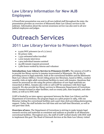## **Law Library Information for New MJB Employees**

A PowerPoint presentation was sent to all new judicial staff throughout the state; the presentation provides an overview of Minnesota State Law Library services to the judiciary. Information about the current awareness service was also sent to all new judicial employees and judges.

## **Outreach Services**

### **2011 Law Library Service to Prisoners Report**

- $\bullet$  9,429 DOC prisoners (as of  $1/1/2011$ )
- 80 prison visits
- 7,532 estimated miles travelled
- 1,002 inmate interviews
- 1,904 individual inmates assisted
- 35,086 inmate requests processed
- 1,280 hours worked by interns and volunteer

**Introduction: Law Library Service to Prisoners (LLSP).** The mission of LLSP is to provide law library service to inmates incarcerated in Minnesota. We do this by providing access to legal materials, both at the correctional facilities and the Minnesota State Law Library (MSLL). Circuit-riding prison law librarians, based at MSLL, conduct monthly visits at eight adult correctional facilities to meet with inmates. Questions that cannot be answered on-site using the prison collections of core legal materials are researched at MSLL. Inmates also write or call LLSP for assistance with their legal research. We also provide law library services to Minnesota Department of Corrections (DOC) inmates housed in other facilities, such as county jails, state hospitals, and other states, as well as to DOC staff.

LLSP is funded by an inter-agency agreement between the State Law Library and the Department of Corrections; the program began as a pilot project in 1984, with one librarian visiting five correctional facilities and a part-time clerk providing photocopying support. Today, the staff includes two full-time and one half-time librarians, as well as one part-time clerk.

**Overview of 2011.** The Department of Corrections is striving to make inmate legal research services and materials as consistent and uniform as possible in all Minnesota correctional facilities. Throughout 2011, the staff of LLSP worked closely with DOC staff to implement this goal. The Head of Outreach Services at the State Law Library visited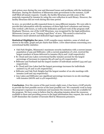each prison once during the year and discussed issues and problems with the institution librarians. During the shutdown of Minnesota state government in the summer, LLSP staff filled all inmate requests. Usually, the facility librarians provide some of the materials requested by inmates by using the core collection in each library. However, the facility librarians did not work during this time period.

In 2011, we provided 35,086 requested items to 1904 different inmates. We were able to provide this information with the assistance of three high-level volunteers and interns, who worked 1,280 hours, as well as the dedication and hard work of the program staff. Stephanie Thorson, one of the LLSP librarians, was recognized by the legal publication, *Minnesota Lawyer,* as an "Unsung Legal Hero" of 2011. This award is reserved for Minnesota's most talented and dedicated legal support professionals.

**Statistical Highlights for 2011.** LLSP compiles many statistics, some of which are shown in the table, graph and pie charts that follow. A few observations concerning 2011 correctional facility statistics:

- Oak Park Heights, Minnesota's maximum-security institution with a current inmate population of 439 and Stillwater, with a current population of 1,616, received the largest numbers of items delivered to inmates (8374 and 7,638 respectively).
- St. Cloud and Lino Lakes correctional facility inmates account for the largest percentage of increases in requests (83.4% and 33.2% respectively).
- Stillwater and Faribault had the largest number of individuals assisted (443 and 342 respectively).
- St. Cloud and Lino Lakes had the largest percentage increases for individuals assisted (75.2% and 10.9% respectively).
- Stillwater and Oak Park Heights had the largest number of on-site meetings with inmates (208 and 195 respectively).
- Lino Lakes and Stillwater saw significant percentage increases in on-site meetings with inmates (68.8% and 12.4% respectively).

**Conclusion.** Over the course of the past twenty-eight years, it has been a LLSP priority to provide the best possible service at the least possible cost. We constantly work to keep the program's expenses to a minimum and maximize the resources that are available for the program. We have come to believe that by educating inmates about the resources available to them and providing access to the legal information they request, the work of LLSP diminishes the number of lawsuits filed by Minnesota prisoners.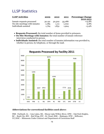## **LLSP Statistics**

| <b>LLSP</b> Activities        | 2009   | 2010   | 2011   | <b>Percentage Change</b> |
|-------------------------------|--------|--------|--------|--------------------------|
|                               |        |        |        | 2010-2011                |
| Inmate requests processed     | 30,191 | 30,302 | 35,086 | $+15.8%$                 |
| On-site meetings with inmates | 1,085  | 1,111  | 1.002  | $-9.8%$                  |
| Individuals assisted          | 1,764  | 1,831  | 1.904  | $+3.9%$                  |

- **Requests Processed:** the total number of items provided to prisoners.
- **On-Site Meetings with Inmates:** the total number of inmate reference interviews conducted in-person.
- **Individuals Assisted:** the total number of inmates information was provided to, whether in person, by telephone, or through the mail.



#### **Abbreviations for correctional facilities used above:**

FRB - Faribault, LL – Lino Lakes, ML –Moose Lake/Willow River, OPH – Oak Park Heights, RC – Rush City, RW – Red Wing, STC - St. Cloud, SHK – Shakopee, STW – Stillwater, UC/DOC – Minnesota Under Contract and Department of Corrections Staff